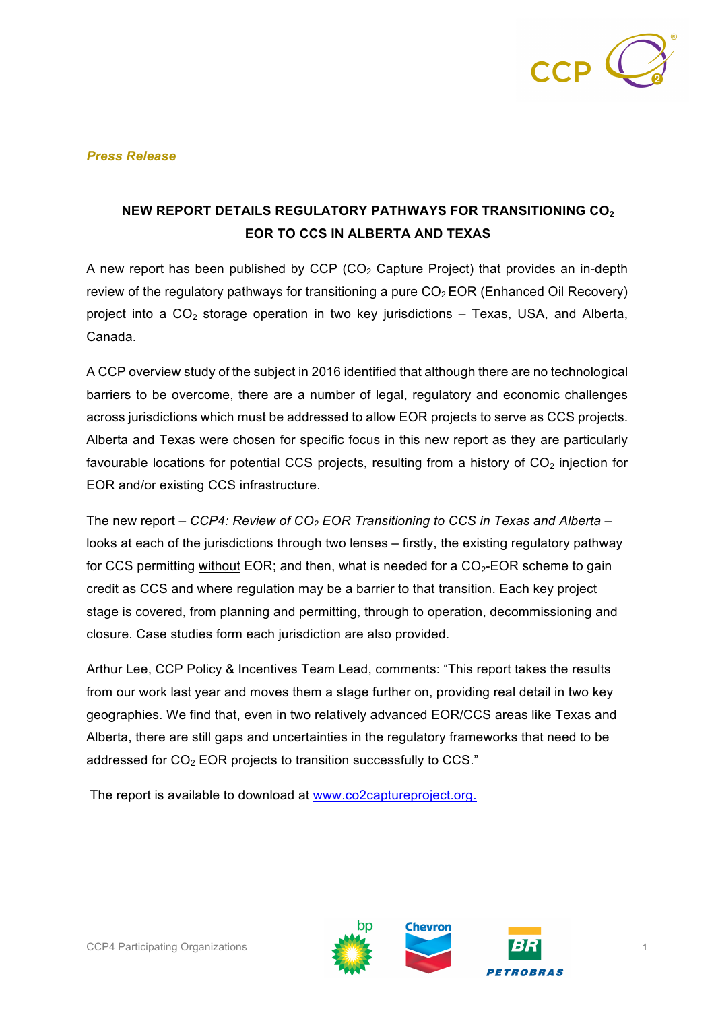

## *Press Release*

## **NEW REPORT DETAILS REGULATORY PATHWAYS FOR TRANSITIONING CO<sub>2</sub> EOR TO CCS IN ALBERTA AND TEXAS**

A new report has been published by CCP (CO<sub>2</sub> Capture Project) that provides an in-depth review of the regulatory pathways for transitioning a pure  $CO<sub>2</sub> EOR$  (Enhanced Oil Recovery) project into a  $CO<sub>2</sub>$  storage operation in two key jurisdictions – Texas, USA, and Alberta, Canada.

A CCP overview study of the subject in 2016 identified that although there are no technological barriers to be overcome, there are a number of legal, regulatory and economic challenges across jurisdictions which must be addressed to allow EOR projects to serve as CCS projects. Alberta and Texas were chosen for specific focus in this new report as they are particularly favourable locations for potential CCS projects, resulting from a history of  $CO<sub>2</sub>$  injection for EOR and/or existing CCS infrastructure.

The new report – *CCP4: Review of CO<sub>2</sub> EOR Transitioning to CCS in Texas and Alberta* – looks at each of the jurisdictions through two lenses – firstly, the existing regulatory pathway for CCS permitting without EOR; and then, what is needed for a  $CO<sub>2</sub>$ -EOR scheme to gain credit as CCS and where regulation may be a barrier to that transition. Each key project stage is covered, from planning and permitting, through to operation, decommissioning and closure. Case studies form each jurisdiction are also provided.

Arthur Lee, CCP Policy & Incentives Team Lead, comments: "This report takes the results from our work last year and moves them a stage further on, providing real detail in two key geographies. We find that, even in two relatively advanced EOR/CCS areas like Texas and Alberta, there are still gaps and uncertainties in the regulatory frameworks that need to be addressed for  $CO<sub>2</sub>$  EOR projects to transition successfully to CCS."

The report is available to download at www.co2captureproject.org.